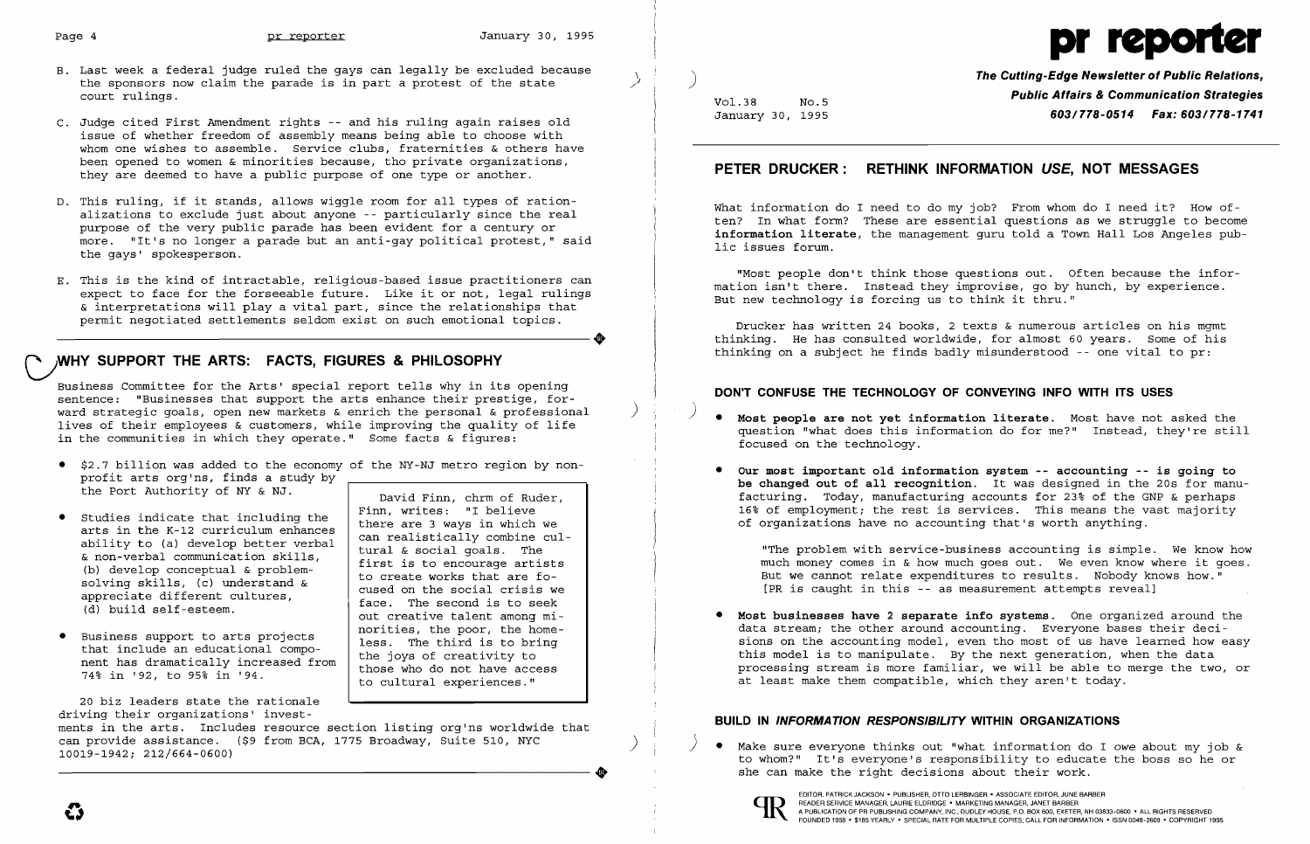

- B. Last week a federal judge ruled the gays can legally be excluded because the sponsors now claim the parade is in part a protest of the state court rulings.
- C. Judge cited First Amendment rights -- and his ruling again raises old issue of whether freedom of assembly means being able to choose with whom one wishes to assemble. Service clubs, fraternities & others have been opened to women & minorities because, tho private organizations, they are deemed to have a public purpose of one type or another.
- D. This ruling, if it stands, allows wiggle room for all types of rationalizations to exclude just about anyone -- particularly since the real purpose of the very pUblic parade has been evident for a century or more. "It's no longer a parade but an anti-gay political protest," said the gays' spokesperson.
- E. This is the kind of intractable, religious-based issue practitioners can expect to face for the forseeable future. Like it or not, legal rulings & interpretations will play a vital part, since the relationships that permit negotiated settlements seldom exist on such emotional topics. permit negotiated settlements seldom exist on such emotional topics.

- • \$2.7 billion was added to the economy of the NY-NJ metro region by nonprofit arts org'ns, finds a study by the Port Authority of NY & NJ.  $\vert$  David Finn, chrm of Ruder,
- Studies indicate that including the there are 3 ways in which we arts in the *K-12* curriculum enhances there are 3 ways in which we ability to (a) develop better verbal the state in the cularts in the K-12 curriculum enhances<br>ability to (a) develop better verbal<br>& non-verbal communication skills,<br>(b) develop conceptual & problem-<br>solving skills, (c) understand &<br>appreciate different cultures,<br>(d) build self-
- Business support to arts projects<br>that include an educational compo-<br>nent has dramatically increased from<br>74% in '92, to 95% in '94.<br>The subset of those who do not have access<br>to cultural experiences."

# **C;WHY SUPPORT THE ARTS: FACTS, FIGURES & PHILOSOPHY**

Business Committee for the Arts' special report tells why in its opening sentence: "Businesses that support the arts enhance their prestige, forward strategic goals, open new markets & enrich the personal & professional ) lives of their employees & customers, while improving the quality of life Ĭ in the communities in which they operate." Some facts & figures:

**The Cutting-Edge Newsletter of Public Relations, Public Affairs & Communication Strategies** Vol. 38 NO.5 January 30, 1995 **603/778-0514 Fax: 603/778-1741** 

What information do I need to do my job? From whom do I need it? How often? In what form? These are essential questions as we struggle to become **information literate,** the management guru told a Town Hall Los Angeles public issues forum.

) **• Most people are not yet information literate.** Most have not asked the question "what does this information do for me?" Instead, they're still

"The problem with service-business accounting is simple. We know how much money comes in & how much goes out. We even know where it goes. But we cannot relate expenditures to results. Nobody knows how." [PR is caught in this -- as measurement attempts reveal]

ments in the arts. Includes resource section listing org'ns worldwide that<br>can provide assistance. (\$9 from BCA, 1775 Broadway, Suite 510, NYC  $\footnotesize{\begin{matrix}\text{call Proulde assistance.} & \text{I.} & \text{II.} & \text{III.} & \text{II.} & \text{II.} & \text{II.} & \text{II.} & \text{II.} & \text{II.} & \text{II.} & \text{II.} & \text{II.} & \text{II.} & \text{II.} & \text{II.} & \text{II.} & \text{II.} & \text{II.} & \text{II.} & \text{II.} & \text{II.} & \text{II.} & \text{II.} & \text{II.} & \text{II.} & \text{II.} & \text{II.} & \text{II.} & \text{II$ ----------------------+ she can make the right decisions about their work.

face. The second is to seek<br>out creative talent among mi-<br>norities, the poor, the home-

20 biz leaders state the rationale driving their organizations' invest-

## **PETER DRUCKER: RETHINK INFORMATION USE, NOT MESSAGES**

"Most people don't think those questions out. Often because the information isn't there. Instead they improvise, go by hunch, by experience. But new technology is forcing us to think it thru."

Drucker has written 24 books, 2 texts & numerous articles on his mgmt thinking. He has consulted worldwide, for almost 60 years. Some of his thinking on a subject he finds badly misunderstood -- one vital to pr:

### **DON'T CONFUSE THE TECHNOLOGY OF CONVEYING INFO WITH ITS USES**

• **Our most important old information system -- accounting -- is going to be changed out of all recognition.** It was designed in the 20s for manufacturing. Today, manufacturing accounts for 23\* of the GNP & perhaps 16\* of employment; the rest is services. This means the vast majority

- focused on the technology.
- of organizations have no accounting that's worth anything.

• **Most businesses have 2 separate info systems.** One organized around the at least make them compatible, which they aren't today.

data stream; the other around accounting. Everyone bases their decisions on the accounting model, even tho most of us have learned how easy this model is to manipulate. By the next generation, when the data processing stream is more familiar, we will be able to merge the two, or

### **BUILD IN INFORMATION RESPONSIBILITY WITHIN ORGANIZATIONS**



EDITOR, PATRICK JACKSON· PUBLISHER, OTTO LERBINGER • ASSOCIATE EDITOR, JUNE BARBER